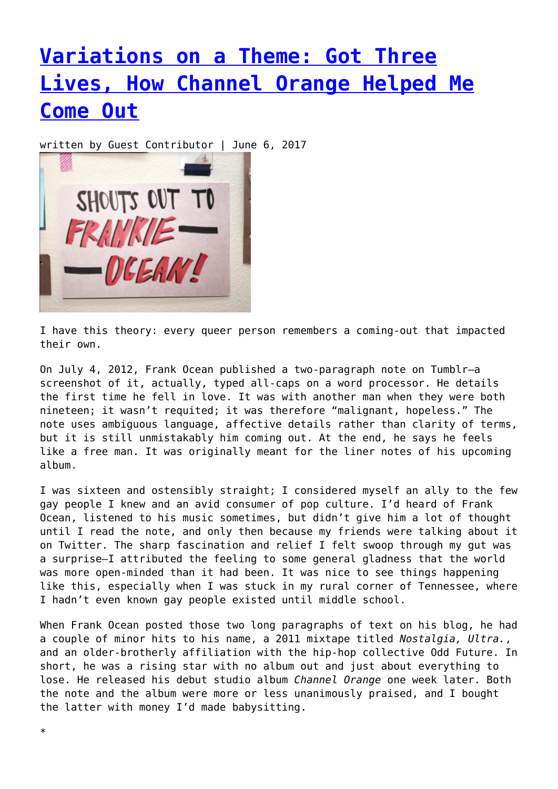## **[Variations on a Theme: Got Three](https://entropymag.org/variations-on-a-theme-got-three-lives-how-channel-orange-helped-me-come-out/) [Lives, How Channel Orange Helped Me](https://entropymag.org/variations-on-a-theme-got-three-lives-how-channel-orange-helped-me-come-out/) [Come Out](https://entropymag.org/variations-on-a-theme-got-three-lives-how-channel-orange-helped-me-come-out/)**

written by Guest Contributor | June 6, 2017



I have this theory: every queer person remembers a coming-out that impacted their own.

On July 4, 2012, Frank Ocean published a two-paragraph note on Tumblr—a screenshot of it, actually, typed all-caps on a word processor. He details the first time he fell in love. It was with another man when they were both nineteen; it wasn't requited; it was therefore "malignant, hopeless." The note uses ambiguous language, affective details rather than clarity of terms, but it is still unmistakably him coming out. At the end, he says he feels like a free man. It was originally meant for the liner notes of his upcoming album.

I was sixteen and ostensibly straight; I considered myself an ally to the few gay people I knew and an avid consumer of pop culture. I'd heard of Frank Ocean, listened to his music sometimes, but didn't give him a lot of thought until I read the note, and only then because my friends were talking about it on Twitter. The sharp fascination and relief I felt swoop through my gut was a surprise—I attributed the feeling to some general gladness that the world was more open-minded than it had been. It was nice to see things happening like this, especially when I was stuck in my rural corner of Tennessee, where I hadn't even known gay people existed until middle school.

When Frank Ocean posted those two long paragraphs of text on his blog, he had a couple of minor hits to his name, a 2011 mixtape titled *Nostalgia, Ultra.*, and an older-brotherly affiliation with the hip-hop collective Odd Future. In short, he was a rising star with no album out and just about everything to lose. He released his debut studio album *Channel Orange* one week later. Both the note and the album were more or less unanimously praised, and I bought the latter with money I'd made babysitting.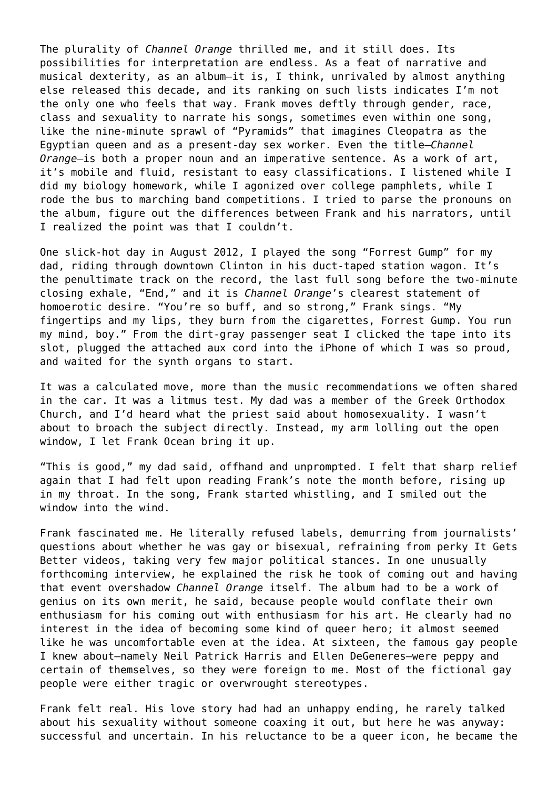The plurality of *Channel Orange* thrilled me, and it still does. Its possibilities for interpretation are endless. As a feat of narrative and musical dexterity, as an album—it is, I think, unrivaled by almost anything else released this decade, and its ranking on such lists indicates I'm not the only one who feels that way. Frank moves deftly through gender, race, class and sexuality to narrate his songs, sometimes even within one song, like the nine-minute sprawl of "Pyramids" that imagines Cleopatra as the Egyptian queen and as a present-day sex worker. Even the title—*Channel Orange*—is both a proper noun and an imperative sentence. As a work of art, it's mobile and fluid, resistant to easy classifications. I listened while I did my biology homework, while I agonized over college pamphlets, while I rode the bus to marching band competitions. I tried to parse the pronouns on the album, figure out the differences between Frank and his narrators, until I realized the point was that I couldn't.

One slick-hot day in August 2012, I played the song "Forrest Gump" for my dad, riding through downtown Clinton in his duct-taped station wagon. It's the penultimate track on the record, the last full song before the two-minute closing exhale, "End," and it is *Channel Orange*'s clearest statement of homoerotic desire. "You're so buff, and so strong," Frank sings. "My fingertips and my lips, they burn from the cigarettes, Forrest Gump. You run my mind, boy." From the dirt-gray passenger seat I clicked the tape into its slot, plugged the attached aux cord into the iPhone of which I was so proud, and waited for the synth organs to start.

It was a calculated move, more than the music recommendations we often shared in the car. It was a litmus test. My dad was a member of the Greek Orthodox Church, and I'd heard what the priest said about homosexuality. I wasn't about to broach the subject directly. Instead, my arm lolling out the open window, I let Frank Ocean bring it up.

"This is good," my dad said, offhand and unprompted. I felt that sharp relief again that I had felt upon reading Frank's note the month before, rising up in my throat. In the song, Frank started whistling, and I smiled out the window into the wind.

Frank fascinated me. He literally refused labels, demurring from journalists' questions about whether he was gay or bisexual, refraining from perky It Gets Better videos, taking very few major political stances. In one unusually forthcoming interview, he explained the risk he took of coming out and having that event overshadow *Channel Orange* itself. The album had to be a work of genius on its own merit, he said, because people would conflate their own enthusiasm for his coming out with enthusiasm for his art. He clearly had no interest in the idea of becoming some kind of queer hero; it almost seemed like he was uncomfortable even at the idea. At sixteen, the famous gay people I knew about—namely Neil Patrick Harris and Ellen DeGeneres—were peppy and certain of themselves, so they were foreign to me. Most of the fictional gay people were either tragic or overwrought stereotypes.

Frank felt real. His love story had had an unhappy ending, he rarely talked about his sexuality without someone coaxing it out, but here he was anyway: successful and uncertain. In his reluctance to be a queer icon, he became the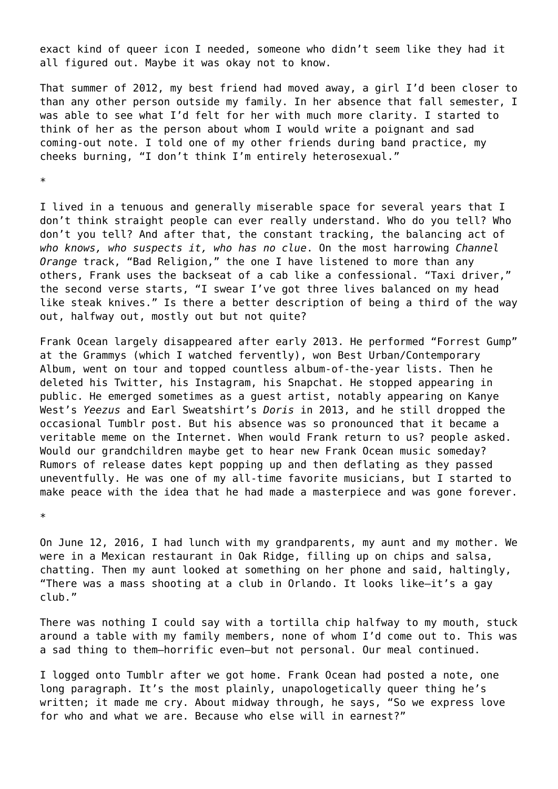exact kind of queer icon I needed, someone who didn't seem like they had it all figured out. Maybe it was okay not to know.

That summer of 2012, my best friend had moved away, a girl I'd been closer to than any other person outside my family. In her absence that fall semester, I was able to see what I'd felt for her with much more clarity. I started to think of her as the person about whom I would write a poignant and sad coming-out note. I told one of my other friends during band practice, my cheeks burning, "I don't think I'm entirely heterosexual."

\*

I lived in a tenuous and generally miserable space for several years that I don't think straight people can ever really understand. Who do you tell? Who don't you tell? And after that, the constant tracking, the balancing act of *who knows, who suspects it, who has no clue*. On the most harrowing *Channel Orange* track, "Bad Religion," the one I have listened to more than any others, Frank uses the backseat of a cab like a confessional. "Taxi driver," the second verse starts, "I swear I've got three lives balanced on my head like steak knives." Is there a better description of being a third of the way out, halfway out, mostly out but not quite?

Frank Ocean largely disappeared after early 2013. He performed "Forrest Gump" at the Grammys (which I watched fervently), won Best Urban/Contemporary Album, went on tour and topped countless album-of-the-year lists. Then he deleted his Twitter, his Instagram, his Snapchat. He stopped appearing in public. He emerged sometimes as a guest artist, notably appearing on Kanye West's *Yeezus* and Earl Sweatshirt's *Doris* in 2013, and he still dropped the occasional Tumblr post. But his absence was so pronounced that it became a veritable meme on the Internet. When would Frank return to us? people asked. Would our grandchildren maybe get to hear new Frank Ocean music someday? Rumors of release dates kept popping up and then deflating as they passed uneventfully. He was one of my all-time favorite musicians, but I started to make peace with the idea that he had made a masterpiece and was gone forever.

\*

On June 12, 2016, I had lunch with my grandparents, my aunt and my mother. We were in a Mexican restaurant in Oak Ridge, filling up on chips and salsa, chatting. Then my aunt looked at something on her phone and said, haltingly, "There was a mass shooting at a club in Orlando. It looks like—it's a gay club."

There was nothing I could say with a tortilla chip halfway to my mouth, stuck around a table with my family members, none of whom I'd come out to. This was a sad thing to them—horrific even—but not personal. Our meal continued.

I logged onto Tumblr after we got home. Frank Ocean had posted a note, one long paragraph. It's the most plainly, unapologetically queer thing he's written; it made me cry. About midway through, he says, "So we express love for who and what we are. Because who else will in earnest?"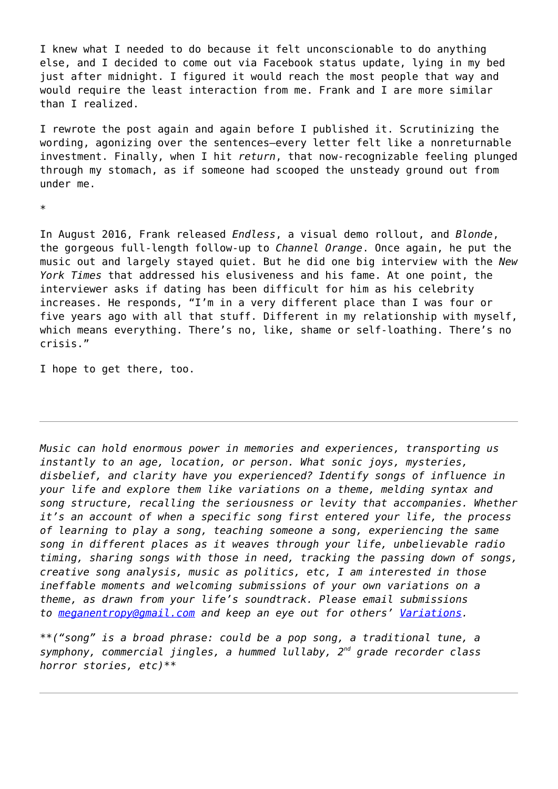I knew what I needed to do because it felt unconscionable to do anything else, and I decided to come out via Facebook status update, lying in my bed just after midnight. I figured it would reach the most people that way and would require the least interaction from me. Frank and I are more similar than I realized.

I rewrote the post again and again before I published it. Scrutinizing the wording, agonizing over the sentences—every letter felt like a nonreturnable investment. Finally, when I hit *return*, that now-recognizable feeling plunged through my stomach, as if someone had scooped the unsteady ground out from under me.

\*

In August 2016, Frank released *Endless*, a visual demo rollout, and *Blonde*, the gorgeous full-length follow-up to *Channel Orange*. Once again, he put the music out and largely stayed quiet. But he did one big interview with the *New York Times* that addressed his elusiveness and his fame. At one point, the interviewer asks if dating has been difficult for him as his celebrity increases. He responds, "I'm in a very different place than I was four or five years ago with all that stuff. Different in my relationship with myself, which means everything. There's no, like, shame or self-loathing. There's no crisis."

I hope to get there, too.

*Music can hold enormous power in memories and experiences, transporting us instantly to an age, location, or person. What sonic joys, mysteries, disbelief, and clarity have you experienced? Identify songs of influence in your life and explore them like variations on a theme, melding syntax and song structure, recalling the seriousness or levity that accompanies. Whether it's an account of when a specific song first entered your life, the process of learning to play a song, teaching someone a song, experiencing the same song in different places as it weaves through your life, unbelievable radio timing, sharing songs with those in need, tracking the passing down of songs, creative song analysis, music as politics, etc, I am interested in those ineffable moments and welcoming submissions of your own variations on a theme, as drawn from your life's soundtrack. Please email submissions to [meganentropy@gmail.com](mailto:meganentropy@gmail.com) and keep an eye out for others' [Variations.](https://entropymag.org/tag/variations-on-a-theme/)*

*\*\*("song" is a broad phrase: could be a pop song, a traditional tune, a symphony, commercial jingles, a hummed lullaby, 2nd grade recorder class horror stories, etc)\*\**